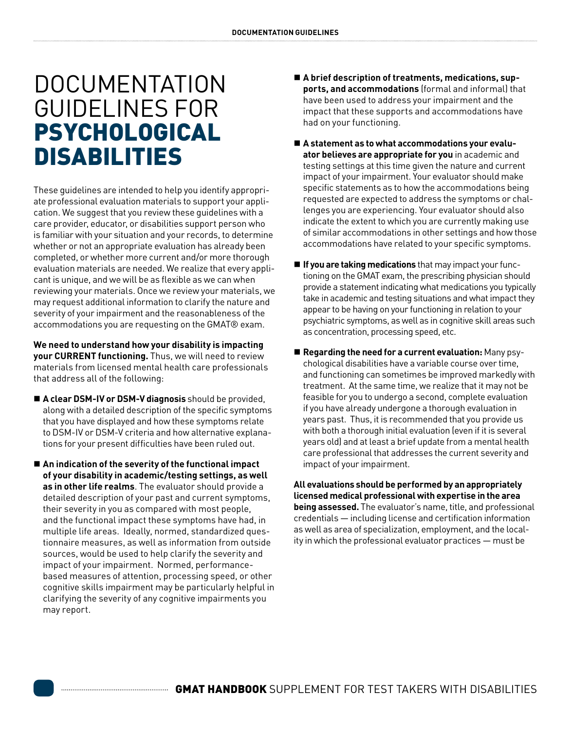## DOCUMENTATION GUIDELINES FOR PSYCHOLOGICAL DISABILITIES

These guidelines are intended to help you identify appropriate professional evaluation materials to support your application. We suggest that you review these guidelines with a care provider, educator, or disabilities support person who is familiar with your situation and your records, to determine whether or not an appropriate evaluation has already been completed, or whether more current and/or more thorough evaluation materials are needed. We realize that every applicant is unique, and we will be as flexible as we can when reviewing your materials. Once we review your materials, we may request additional information to clarify the nature and severity of your impairment and the reasonableness of the accommodations you are requesting on the GMAT® exam.

**We need to understand how your disability is impacting your CURRENT functioning.** Thus, we will need to review materials from licensed mental health care professionals that address all of the following:

- **A clear DSM-IV or DSM-V diagnosis** should be provided, along with a detailed description of the specific symptoms that you have displayed and how these symptoms relate to DSM-IV or DSM-V criteria and how alternative explanations for your present difficulties have been ruled out.
- An indication of the severity of the functional impact **of your disability in academic/testing settings, as well as in other life realms**. The evaluator should provide a detailed description of your past and current symptoms, their severity in you as compared with most people, and the functional impact these symptoms have had, in multiple life areas. Ideally, normed, standardized questionnaire measures, as well as information from outside sources, would be used to help clarify the severity and impact of your impairment. Normed, performancebased measures of attention, processing speed, or other cognitive skills impairment may be particularly helpful in clarifying the severity of any cognitive impairments you may report.
- A brief description of treatments, medications, sup**ports, and accommodations** (formal and informal) that have been used to address your impairment and the impact that these supports and accommodations have had on your functioning.
- A statement as to what accommodations your evalu**ator believes are appropriate for you** in academic and testing settings at this time given the nature and current impact of your impairment. Your evaluator should make specific statements as to how the accommodations being requested are expected to address the symptoms or challenges you are experiencing. Your evaluator should also indicate the extent to which you are currently making use of similar accommodations in other settings and how those accommodations have related to your specific symptoms.
- **If you are taking medications** that may impact your functioning on the GMAT exam, the prescribing physician should provide a statement indicating what medications you typically take in academic and testing situations and what impact they appear to be having on your functioning in relation to your psychiatric symptoms, as well as in cognitive skill areas such as concentration, processing speed, etc.
- **Regarding the need for a current evaluation:** Many psychological disabilities have a variable course over time, and functioning can sometimes be improved markedly with treatment. At the same time, we realize that it may not be feasible for you to undergo a second, complete evaluation if you have already undergone a thorough evaluation in years past. Thus, it is recommended that you provide us with both a thorough initial evaluation (even if it is several years old) and at least a brief update from a mental health care professional that addresses the current severity and impact of your impairment.

**All evaluations should be performed by an appropriately licensed medical professional with expertise in the area being assessed.** The evaluator's name, title, and professional credentials — including license and certification information as well as area of specialization, employment, and the locality in which the professional evaluator practices — must be